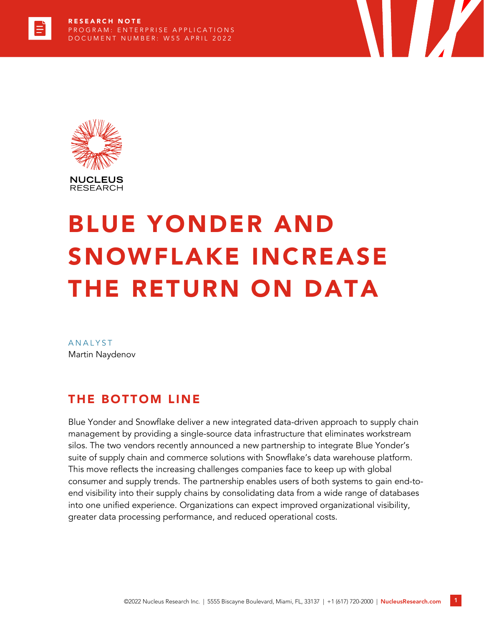

# BLUE YONDER AND SNOWFLAKE INCREASE THE RETURN ON DATA

**TIME** 

**ANALYST** Martin Naydenov

#### THE BOTTOM LINE

Blue Yonder and Snowflake deliver a new integrated data-driven approach to supply chain management by providing a single-source data infrastructure that eliminates workstream silos. The two vendors recently announced a new partnership to integrate Blue Yonder's suite of supply chain and commerce solutions with Snowflake's data warehouse platform. This move reflects the increasing challenges companies face to keep up with global consumer and supply trends. The partnership enables users of both systems to gain end-toend visibility into their supply chains by consolidating data from a wide range of databases into one unified experience. Organizations can expect improved organizational visibility, greater data processing performance, and reduced operational costs.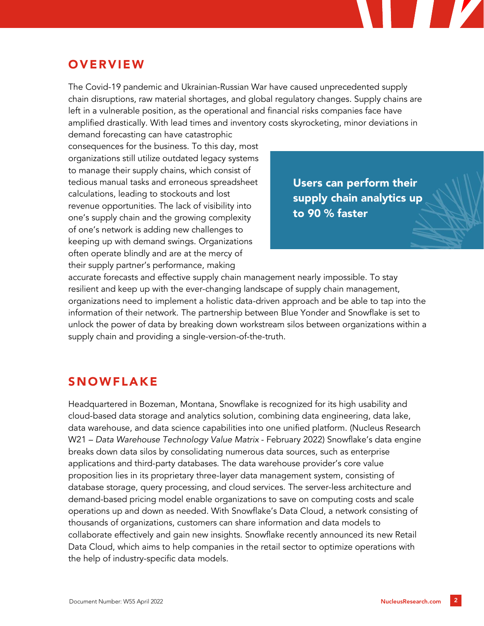## **OVERVIEW**

The Covid-19 pandemic and Ukrainian-Russian War have caused unprecedented supply chain disruptions, raw material shortages, and global regulatory changes. Supply chains are left in a vulnerable position, as the operational and financial risks companies face have amplified drastically. With lead times and inventory costs skyrocketing, minor deviations in

demand forecasting can have catastrophic consequences for the business. To this day, most organizations still utilize outdated legacy systems to manage their supply chains, which consist of tedious manual tasks and erroneous spreadsheet calculations, leading to stockouts and lost revenue opportunities. The lack of visibility into one's supply chain and the growing complexity of one's network is adding new challenges to keeping up with demand swings. Organizations often operate blindly and are at the mercy of their supply partner's performance, making

Users can perform their supply chain analytics up to 90 % faster

accurate forecasts and effective supply chain management nearly impossible. To stay resilient and keep up with the ever-changing landscape of supply chain management, organizations need to implement a holistic data-driven approach and be able to tap into the information of their network. The partnership between Blue Yonder and Snowflake is set to unlock the power of data by breaking down workstream silos between organizations within a supply chain and providing a single-version-of-the-truth.

#### SNOWFLAKE

Headquartered in Bozeman, Montana, Snowflake is recognized for its high usability and cloud-based data storage and analytics solution, combining data engineering, data lake, data warehouse, and data science capabilities into one unified platform. (Nucleus Research W21 – *Data Warehouse Technology Value Matrix* - February 2022) Snowflake's data engine breaks down data silos by consolidating numerous data sources, such as enterprise applications and third-party databases. The data warehouse provider's core value proposition lies in its proprietary three-layer data management system, consisting of database storage, query processing, and cloud services. The server-less architecture and demand-based pricing model enable organizations to save on computing costs and scale operations up and down as needed. With Snowflake's Data Cloud, a network consisting of thousands of organizations, customers can share information and data models to collaborate effectively and gain new insights. Snowflake recently announced its new Retail Data Cloud, which aims to help companies in the retail sector to optimize operations with the help of industry-specific data models.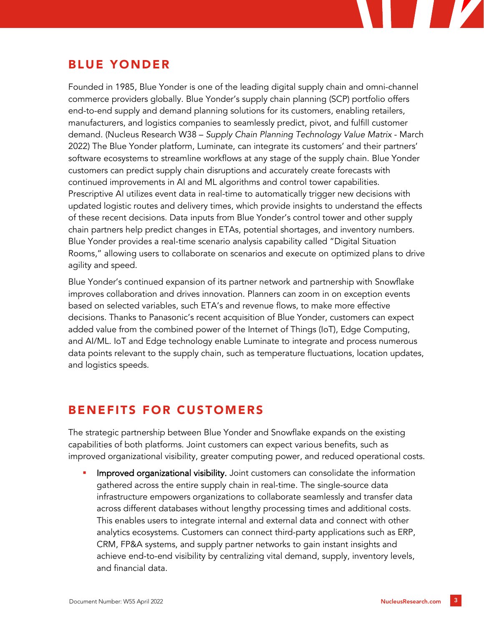## BLUE YONDER

Founded in 1985, Blue Yonder is one of the leading digital supply chain and omni-channel commerce providers globally. Blue Yonder's supply chain planning (SCP) portfolio offers end-to-end supply and demand planning solutions for its customers, enabling retailers, manufacturers, and logistics companies to seamlessly predict, pivot, and fulfill customer demand. (Nucleus Research W38 – *Supply Chain Planning Technology Value Matrix* - March 2022) The Blue Yonder platform, Luminate, can integrate its customers' and their partners' software ecosystems to streamline workflows at any stage of the supply chain. Blue Yonder customers can predict supply chain disruptions and accurately create forecasts with continued improvements in AI and ML algorithms and control tower capabilities. Prescriptive AI utilizes event data in real-time to automatically trigger new decisions with updated logistic routes and delivery times, which provide insights to understand the effects of these recent decisions. Data inputs from Blue Yonder's control tower and other supply chain partners help predict changes in ETAs, potential shortages, and inventory numbers. Blue Yonder provides a real-time scenario analysis capability called "Digital Situation Rooms," allowing users to collaborate on scenarios and execute on optimized plans to drive agility and speed.

Blue Yonder's continued expansion of its partner network and partnership with Snowflake improves collaboration and drives innovation. Planners can zoom in on exception events based on selected variables, such ETA's and revenue flows, to make more effective decisions. Thanks to Panasonic's recent acquisition of Blue Yonder, customers can expect added value from the combined power of the Internet of Things (IoT), Edge Computing, and AI/ML. IoT and Edge technology enable Luminate to integrate and process numerous data points relevant to the supply chain, such as temperature fluctuations, location updates, and logistics speeds.

#### BENEFITS FOR CUSTOMERS

The strategic partnership between Blue Yonder and Snowflake expands on the existing capabilities of both platforms. Joint customers can expect various benefits, such as improved organizational visibility, greater computing power, and reduced operational costs.

Improved organizational visibility. Joint customers can consolidate the information gathered across the entire supply chain in real-time. The single-source data infrastructure empowers organizations to collaborate seamlessly and transfer data across different databases without lengthy processing times and additional costs. This enables users to integrate internal and external data and connect with other analytics ecosystems. Customers can connect third-party applications such as ERP, CRM, FP&A systems, and supply partner networks to gain instant insights and achieve end-to-end visibility by centralizing vital demand, supply, inventory levels, and financial data.